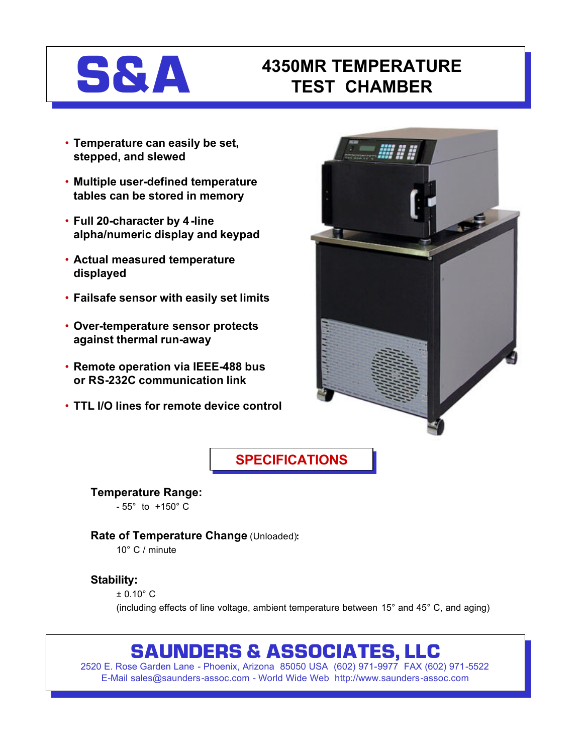

## **S&A 4350MR TEMPERATURE TEST CHAMBER**

- **Temperature can easily be set, stepped, and slewed**
- **Multiple user-defined temperature tables can be stored in memory**
- **Full 20-character by 4-line alpha/numeric display and keypad**
- **Actual measured temperature displayed**
- **Failsafe sensor with easily set limits**
- **Over-temperature sensor protects against thermal run-away**
- **Remote operation via IEEE-488 bus or RS-232C communication link**
- **TTL I/O lines for remote device control**



## **SPECIFICATIONS**

**Temperature Range:**  - 55° to +150° C

**Rate of Temperature Change** (Unloaded)**:**

10° C / minute

#### **Stability:**

± 0.10° C

(including effects of line voltage, ambient temperature between 15° and 45° C, and aging)

# **SAUNDERS & ASSOCIATES, LLC**

2520 E. Rose Garden Lane - Phoenix, Arizona 85050 USA (602) 971-9977 FAX (602) 971-5522 E-Mail sales@saunders-assoc.com - World Wide Web http://www.saunders-assoc.com